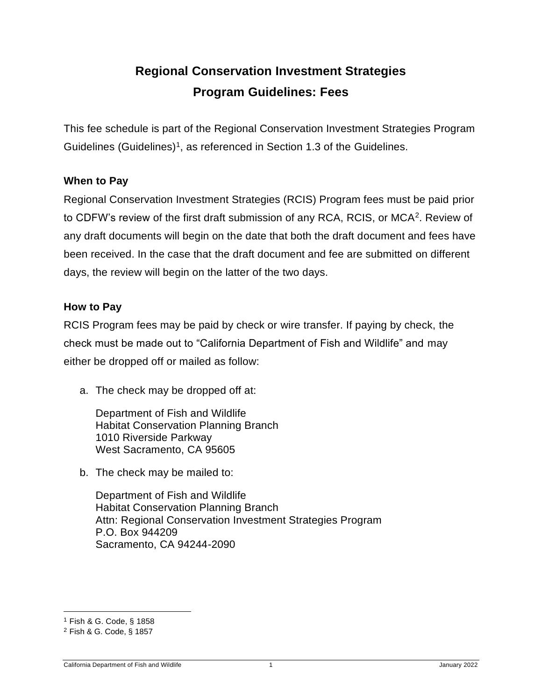# **Regional Conservation Investment Strategies Program Guidelines: Fees**

This fee schedule is part of the Regional Conservation Investment Strategies Program Guidelines (Guidelines)<sup>1</sup>, as referenced in Section 1.3 of the Guidelines.

#### **When to Pay**

Regional Conservation Investment Strategies (RCIS) Program fees must be paid prior to CDFW's review of the first draft submission of any RCA, RCIS, or MCA<sup>2</sup>. Review of any draft documents will begin on the date that both the draft document and fees have been received. In the case that the draft document and fee are submitted on different days, the review will begin on the latter of the two days.

#### **How to Pay**

RCIS Program fees may be paid by check or wire transfer. If paying by check, the check must be made out to "California Department of Fish and Wildlife" and may either be dropped off or mailed as follow:

a. The check may be dropped off at:

Department of Fish and Wildlife Habitat Conservation Planning Branch 1010 Riverside Parkway West Sacramento, CA 95605

b. The check may be mailed to:

Department of Fish and Wildlife Habitat Conservation Planning Branch Attn: Regional Conservation Investment Strategies Program P.O. Box 944209 Sacramento, CA 94244-2090

<sup>1</sup> Fish & G. Code, § 1858

<sup>2</sup> Fish & G. Code, § 1857

California Department of Fish and Wildlife 1 January 2022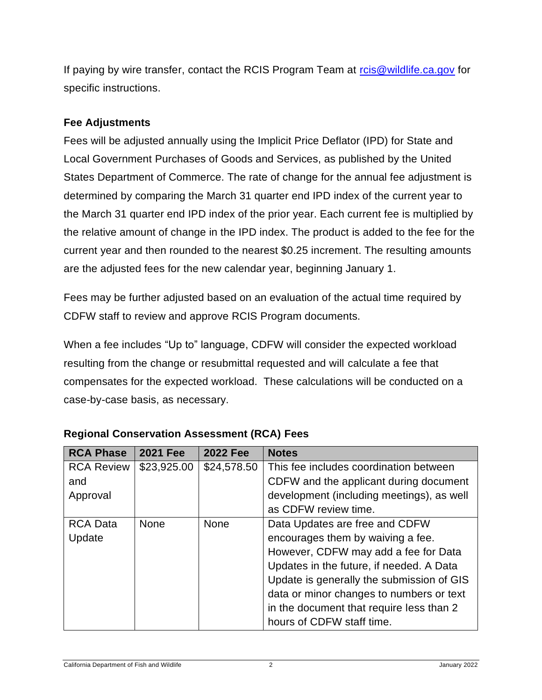If paying by wire transfer, contact the RCIS Program Team at [rcis@wildlife.ca.gov](mailto:rcis@wildlife.ca.gov) for specific instructions.

#### **Fee Adjustments**

Fees will be adjusted annually using the Implicit Price Deflator (IPD) for State and Local Government Purchases of Goods and Services, as published by the United States Department of Commerce. The rate of change for the annual fee adjustment is determined by comparing the March 31 quarter end IPD index of the current year to the March 31 quarter end IPD index of the prior year. Each current fee is multiplied by the relative amount of change in the IPD index. The product is added to the fee for the current year and then rounded to the nearest \$0.25 increment. The resulting amounts are the adjusted fees for the new calendar year, beginning January 1.

Fees may be further adjusted based on an evaluation of the actual time required by CDFW staff to review and approve RCIS Program documents.

When a fee includes "Up to" language, CDFW will consider the expected workload resulting from the change or resubmittal requested and will calculate a fee that compensates for the expected workload. These calculations will be conducted on a case-by-case basis, as necessary.

| <b>RCA Phase</b>  | <b>2021 Fee</b> | <b>2022 Fee</b> | <b>Notes</b>                              |
|-------------------|-----------------|-----------------|-------------------------------------------|
| <b>RCA Review</b> | \$23,925.00     | \$24,578.50     | This fee includes coordination between    |
| and               |                 |                 | CDFW and the applicant during document    |
| Approval          |                 |                 | development (including meetings), as well |
|                   |                 |                 | as CDFW review time.                      |
| <b>RCA Data</b>   | <b>None</b>     | None            | Data Updates are free and CDFW            |
| Update            |                 |                 | encourages them by waiving a fee.         |
|                   |                 |                 | However, CDFW may add a fee for Data      |
|                   |                 |                 | Updates in the future, if needed. A Data  |
|                   |                 |                 | Update is generally the submission of GIS |
|                   |                 |                 | data or minor changes to numbers or text  |
|                   |                 |                 | in the document that require less than 2  |
|                   |                 |                 | hours of CDFW staff time.                 |

| <b>Regional Conservation Assessment (RCA) Fees</b> |  |  |
|----------------------------------------------------|--|--|
|                                                    |  |  |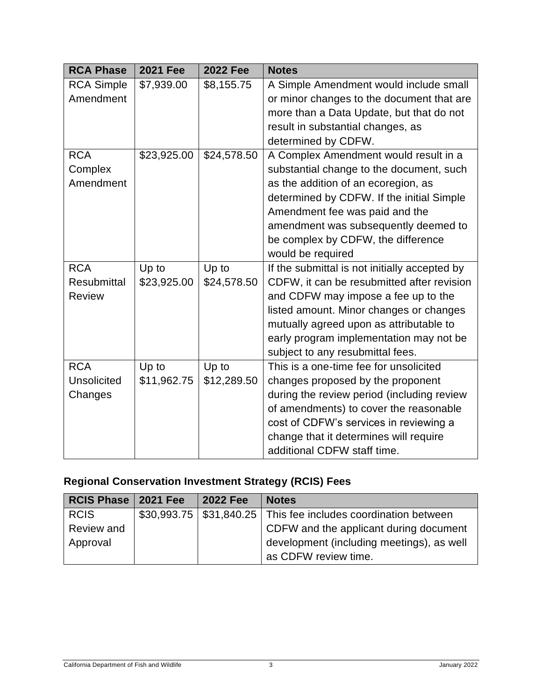| <b>RCA Phase</b>   | <b>2021 Fee</b> | <b>2022 Fee</b> | <b>Notes</b>                                  |
|--------------------|-----------------|-----------------|-----------------------------------------------|
| <b>RCA Simple</b>  | \$7,939.00      | \$8,155.75      | A Simple Amendment would include small        |
| Amendment          |                 |                 | or minor changes to the document that are     |
|                    |                 |                 | more than a Data Update, but that do not      |
|                    |                 |                 | result in substantial changes, as             |
|                    |                 |                 | determined by CDFW.                           |
| <b>RCA</b>         | \$23,925.00     | \$24,578.50     | A Complex Amendment would result in a         |
| Complex            |                 |                 | substantial change to the document, such      |
| Amendment          |                 |                 | as the addition of an ecoregion, as           |
|                    |                 |                 | determined by CDFW. If the initial Simple     |
|                    |                 |                 | Amendment fee was paid and the                |
|                    |                 |                 | amendment was subsequently deemed to          |
|                    |                 |                 | be complex by CDFW, the difference            |
|                    |                 |                 | would be required                             |
| <b>RCA</b>         | Up to           | Up to           | If the submittal is not initially accepted by |
| <b>Resubmittal</b> | \$23,925.00     | \$24,578.50     | CDFW, it can be resubmitted after revision    |
| <b>Review</b>      |                 |                 | and CDFW may impose a fee up to the           |
|                    |                 |                 | listed amount. Minor changes or changes       |
|                    |                 |                 | mutually agreed upon as attributable to       |
|                    |                 |                 | early program implementation may not be       |
|                    |                 |                 | subject to any resubmittal fees.              |
| <b>RCA</b>         | Up to           | Up to           | This is a one-time fee for unsolicited        |
| <b>Unsolicited</b> | \$11,962.75     | \$12,289.50     | changes proposed by the proponent             |
| Changes            |                 |                 | during the review period (including review    |
|                    |                 |                 | of amendments) to cover the reasonable        |
|                    |                 |                 | cost of CDFW's services in reviewing a        |
|                    |                 |                 | change that it determines will require        |
|                    |                 |                 | additional CDFW staff time.                   |

## **Regional Conservation Investment Strategy (RCIS) Fees**

| RCIS Phase   2021 Fee | <b>2022 Fee</b> | <b>Notes</b>                                                       |
|-----------------------|-----------------|--------------------------------------------------------------------|
| <b>RCIS</b>           |                 | \$30,993.75   \$31,840.25   This fee includes coordination between |
| Review and            |                 | CDFW and the applicant during document                             |
| Approval              |                 | development (including meetings), as well                          |
|                       |                 | as CDFW review time.                                               |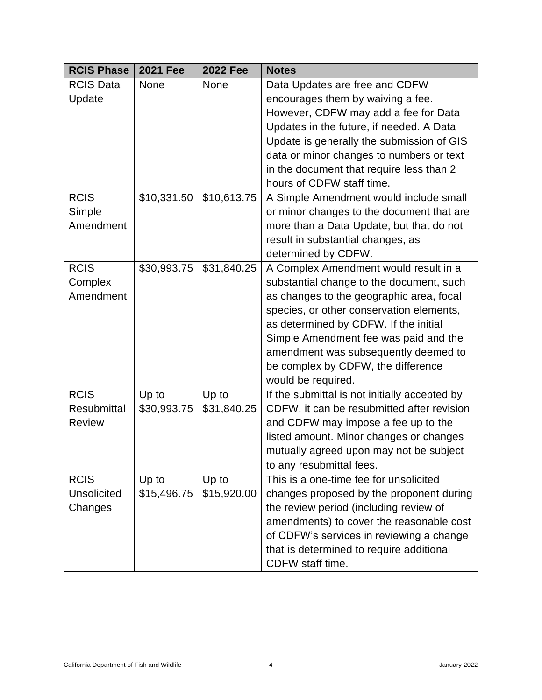| <b>RCIS Phase</b>  | <b>2021 Fee</b> | <b>2022 Fee</b> | <b>Notes</b>                                  |
|--------------------|-----------------|-----------------|-----------------------------------------------|
| <b>RCIS Data</b>   | None            | None            | Data Updates are free and CDFW                |
| Update             |                 |                 | encourages them by waiving a fee.             |
|                    |                 |                 | However, CDFW may add a fee for Data          |
|                    |                 |                 | Updates in the future, if needed. A Data      |
|                    |                 |                 | Update is generally the submission of GIS     |
|                    |                 |                 | data or minor changes to numbers or text      |
|                    |                 |                 | in the document that require less than 2      |
|                    |                 |                 | hours of CDFW staff time.                     |
| <b>RCIS</b>        | \$10,331.50     | \$10,613.75     | A Simple Amendment would include small        |
| Simple             |                 |                 | or minor changes to the document that are     |
| Amendment          |                 |                 | more than a Data Update, but that do not      |
|                    |                 |                 | result in substantial changes, as             |
|                    |                 |                 | determined by CDFW.                           |
| <b>RCIS</b>        | \$30,993.75     | \$31,840.25     | A Complex Amendment would result in a         |
| Complex            |                 |                 | substantial change to the document, such      |
| Amendment          |                 |                 | as changes to the geographic area, focal      |
|                    |                 |                 | species, or other conservation elements,      |
|                    |                 |                 | as determined by CDFW. If the initial         |
|                    |                 |                 | Simple Amendment fee was paid and the         |
|                    |                 |                 | amendment was subsequently deemed to          |
|                    |                 |                 | be complex by CDFW, the difference            |
|                    |                 |                 | would be required.                            |
| <b>RCIS</b>        | Up to           | Up to           | If the submittal is not initially accepted by |
| <b>Resubmittal</b> | \$30,993.75     | \$31,840.25     | CDFW, it can be resubmitted after revision    |
| <b>Review</b>      |                 |                 | and CDFW may impose a fee up to the           |
|                    |                 |                 | listed amount. Minor changes or changes       |
|                    |                 |                 | mutually agreed upon may not be subject       |
|                    |                 |                 | to any resubmittal fees.                      |
| <b>RCIS</b>        | Up to           | Up to           | This is a one-time fee for unsolicited        |
| <b>Unsolicited</b> | \$15,496.75     | \$15,920.00     | changes proposed by the proponent during      |
| Changes            |                 |                 | the review period (including review of        |
|                    |                 |                 | amendments) to cover the reasonable cost      |
|                    |                 |                 | of CDFW's services in reviewing a change      |
|                    |                 |                 | that is determined to require additional      |
|                    |                 |                 | CDFW staff time.                              |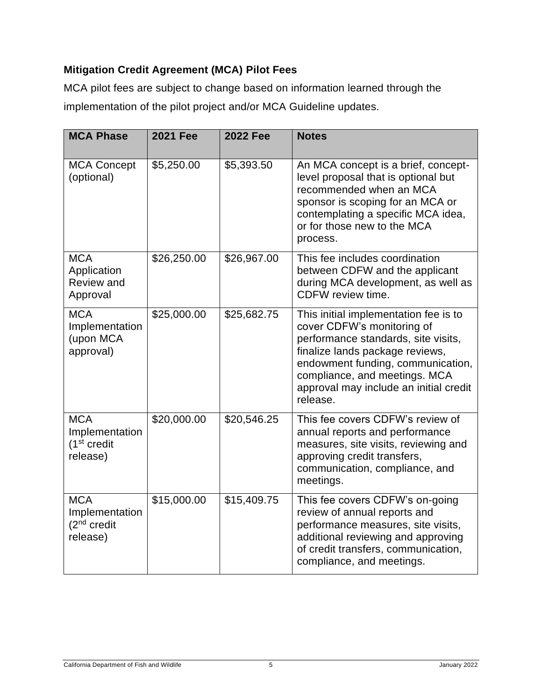### **Mitigation Credit Agreement (MCA) Pilot Fees**

MCA pilot fees are subject to change based on information learned through the implementation of the pilot project and/or MCA Guideline updates.

| <b>MCA Phase</b>                                                     | <b>2021 Fee</b> | <b>2022 Fee</b> | <b>Notes</b>                                                                                                                                                                                                                                                              |
|----------------------------------------------------------------------|-----------------|-----------------|---------------------------------------------------------------------------------------------------------------------------------------------------------------------------------------------------------------------------------------------------------------------------|
| <b>MCA Concept</b><br>(optional)                                     | \$5,250.00      | \$5,393.50      | An MCA concept is a brief, concept-<br>level proposal that is optional but<br>recommended when an MCA<br>sponsor is scoping for an MCA or<br>contemplating a specific MCA idea,<br>or for those new to the MCA<br>process.                                                |
| <b>MCA</b><br>Application<br>Review and<br>Approval                  | \$26,250.00     | \$26,967.00     | This fee includes coordination<br>between CDFW and the applicant<br>during MCA development, as well as<br>CDFW review time.                                                                                                                                               |
| <b>MCA</b><br>Implementation<br>(upon MCA<br>approval)               | \$25,000.00     | \$25,682.75     | This initial implementation fee is to<br>cover CDFW's monitoring of<br>performance standards, site visits,<br>finalize lands package reviews,<br>endowment funding, communication,<br>compliance, and meetings. MCA<br>approval may include an initial credit<br>release. |
| <b>MCA</b><br>Implementation<br>(1 <sup>st</sup> credit)<br>release) | \$20,000.00     | \$20,546.25     | This fee covers CDFW's review of<br>annual reports and performance<br>measures, site visits, reviewing and<br>approving credit transfers,<br>communication, compliance, and<br>meetings.                                                                                  |
| <b>MCA</b><br>Implementation<br>(2 <sup>nd</sup> credit)<br>release) | \$15,000.00     | \$15,409.75     | This fee covers CDFW's on-going<br>review of annual reports and<br>performance measures, site visits,<br>additional reviewing and approving<br>of credit transfers, communication,<br>compliance, and meetings.                                                           |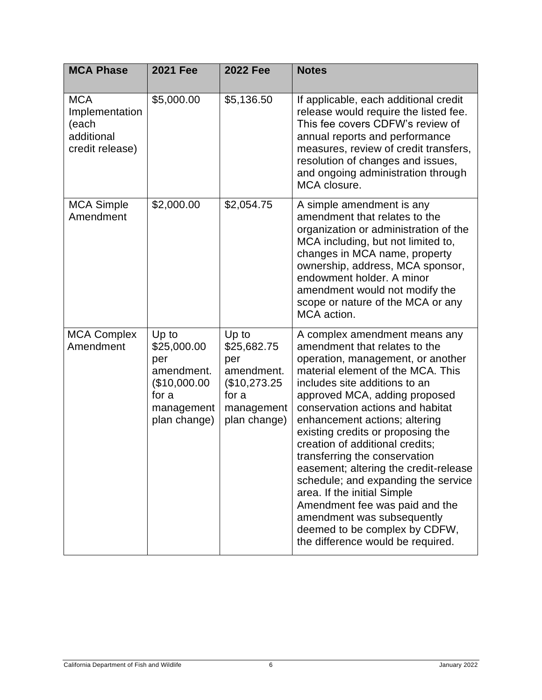| <b>MCA Phase</b>                                                       | <b>2021 Fee</b>                                                                                  | <b>2022 Fee</b>                                                                                  | <b>Notes</b>                                                                                                                                                                                                                                                                                                                                                                                                                                                                                                                                                                                                                                  |
|------------------------------------------------------------------------|--------------------------------------------------------------------------------------------------|--------------------------------------------------------------------------------------------------|-----------------------------------------------------------------------------------------------------------------------------------------------------------------------------------------------------------------------------------------------------------------------------------------------------------------------------------------------------------------------------------------------------------------------------------------------------------------------------------------------------------------------------------------------------------------------------------------------------------------------------------------------|
| <b>MCA</b><br>Implementation<br>(each<br>additional<br>credit release) | \$5,000.00                                                                                       | \$5,136.50                                                                                       | If applicable, each additional credit<br>release would require the listed fee.<br>This fee covers CDFW's review of<br>annual reports and performance<br>measures, review of credit transfers,<br>resolution of changes and issues,<br>and ongoing administration through<br>MCA closure.                                                                                                                                                                                                                                                                                                                                                      |
| <b>MCA Simple</b><br>Amendment                                         | \$2,000.00                                                                                       | \$2,054.75                                                                                       | A simple amendment is any<br>amendment that relates to the<br>organization or administration of the<br>MCA including, but not limited to,<br>changes in MCA name, property<br>ownership, address, MCA sponsor,<br>endowment holder. A minor<br>amendment would not modify the<br>scope or nature of the MCA or any<br>MCA action.                                                                                                                                                                                                                                                                                                             |
| <b>MCA Complex</b><br>Amendment                                        | Up to<br>\$25,000.00<br>per<br>amendment.<br>(\$10,000.00<br>for a<br>management<br>plan change) | Up to<br>\$25,682.75<br>per<br>amendment.<br>(\$10,273.25<br>for a<br>management<br>plan change) | A complex amendment means any<br>amendment that relates to the<br>operation, management, or another<br>material element of the MCA. This<br>includes site additions to an<br>approved MCA, adding proposed<br>conservation actions and habitat<br>enhancement actions; altering<br>existing credits or proposing the<br>creation of additional credits;<br>transferring the conservation<br>easement; altering the credit-release<br>schedule; and expanding the service<br>area. If the initial Simple<br>Amendment fee was paid and the<br>amendment was subsequently<br>deemed to be complex by CDFW,<br>the difference would be required. |